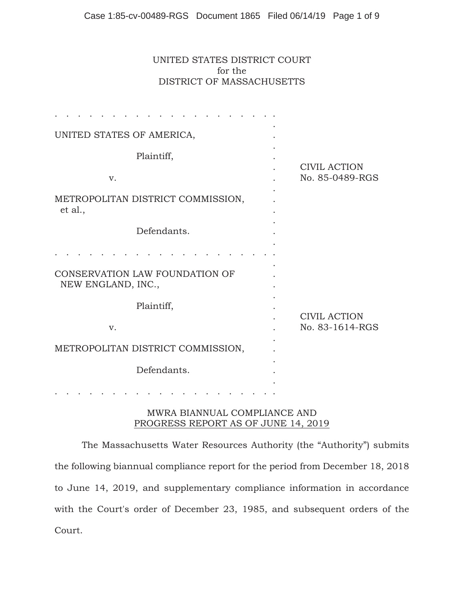## UNITED STATES DISTRICT COURT for the DISTRICT OF MASSACHUSETTS

| UNITED STATES OF AMERICA,                            |                                        |
|------------------------------------------------------|----------------------------------------|
| Plaintiff,                                           |                                        |
| V.                                                   | <b>CIVIL ACTION</b><br>No. 85-0489-RGS |
| METROPOLITAN DISTRICT COMMISSION,<br>et al.,         |                                        |
| Defendants.                                          |                                        |
|                                                      |                                        |
| CONSERVATION LAW FOUNDATION OF<br>NEW ENGLAND, INC., |                                        |
| Plaintiff,                                           |                                        |
| V.                                                   | <b>CIVIL ACTION</b><br>No. 83-1614-RGS |
| METROPOLITAN DISTRICT COMMISSION,                    |                                        |
| Defendants.                                          |                                        |
|                                                      |                                        |

## MWRA BIANNUAL COMPLIANCE AND PROGRESS REPORT AS OF JUNE 14, 2019

The Massachusetts Water Resources Authority (the "Authority") submits the following biannual compliance report for the period from December 18, 2018 to June 14, 2019, and supplementary compliance information in accordance with the Court's order of December 23, 1985, and subsequent orders of the Court.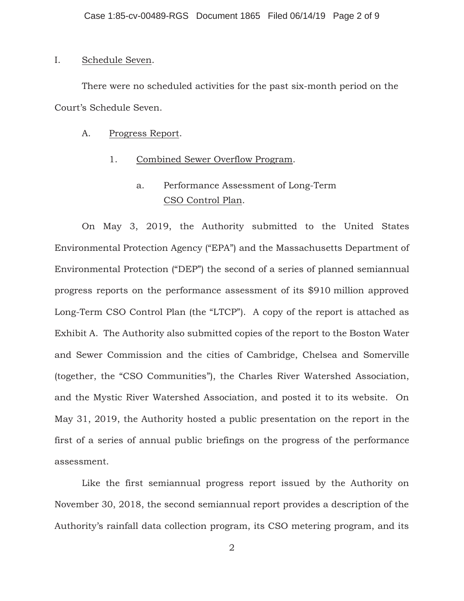#### I. Schedule Seven.

There were no scheduled activities for the past six-month period on the Court's Schedule Seven.

### A. Progress Report.

## 1. Combined Sewer Overflow Program.

# a. Performance Assessment of Long-Term CSO Control Plan.

On May 3, 2019, the Authority submitted to the United States Environmental Protection Agency ("EPA") and the Massachusetts Department of Environmental Protection ("DEP") the second of a series of planned semiannual progress reports on the performance assessment of its \$910 million approved Long-Term CSO Control Plan (the "LTCP"). A copy of the report is attached as Exhibit A. The Authority also submitted copies of the report to the Boston Water and Sewer Commission and the cities of Cambridge, Chelsea and Somerville (together, the "CSO Communities"), the Charles River Watershed Association, and the Mystic River Watershed Association, and posted it to its website. On May 31, 2019, the Authority hosted a public presentation on the report in the first of a series of annual public briefings on the progress of the performance assessment.

Like the first semiannual progress report issued by the Authority on November 30, 2018, the second semiannual report provides a description of the Authority's rainfall data collection program, its CSO metering program, and its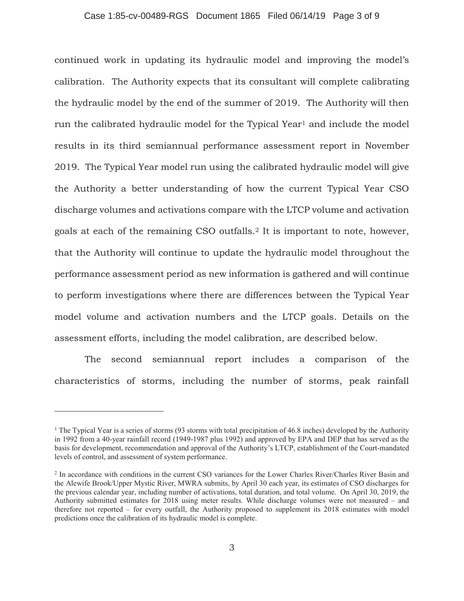#### Case 1:85-cv-00489-RGS Document 1865 Filed 06/14/19 Page 3 of 9

continued work in updating its hydraulic model and improving the model's calibration. The Authority expects that its consultant will complete calibrating the hydraulic model by the end of the summer of 2019. The Authority will then run the calibrated hydraulic model for the Typical Year<sup>1</sup> and include the model results in its third semiannual performance assessment report in November 2019. The Typical Year model run using the calibrated hydraulic model will give the Authority a better understanding of how the current Typical Year CSO discharge volumes and activations compare with the LTCP volume and activation goals at each of the remaining CSO outfalls.2 It is important to note, however, that the Authority will continue to update the hydraulic model throughout the performance assessment period as new information is gathered and will continue to perform investigations where there are differences between the Typical Year model volume and activation numbers and the LTCP goals. Details on the assessment efforts, including the model calibration, are described below.

 The second semiannual report includes a comparison of the characteristics of storms, including the number of storms, peak rainfall

<sup>&</sup>lt;sup>1</sup> The Typical Year is a series of storms (93 storms with total precipitation of 46.8 inches) developed by the Authority in 1992 from a 40-year rainfall record (1949-1987 plus 1992) and approved by EPA and DEP that has served as the basis for development, recommendation and approval of the Authority's LTCP, establishment of the Court-mandated levels of control, and assessment of system performance.

<sup>&</sup>lt;sup>2</sup> In accordance with conditions in the current CSO variances for the Lower Charles River/Charles River Basin and the Alewife Brook/Upper Mystic River, MWRA submits, by April 30 each year, its estimates of CSO discharges for the previous calendar year, including number of activations, total duration, and total volume. On April 30, 2019, the Authority submitted estimates for 2018 using meter results. While discharge volumes were not measured – and therefore not reported – for every outfall, the Authority proposed to supplement its 2018 estimates with model predictions once the calibration of its hydraulic model is complete.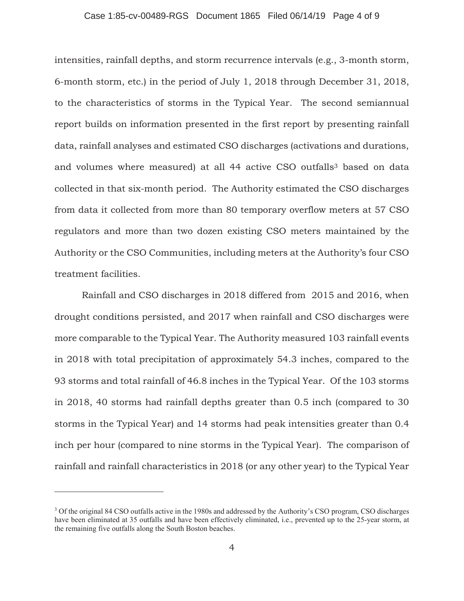#### Case 1:85-cv-00489-RGS Document 1865 Filed 06/14/19 Page 4 of 9

intensities, rainfall depths, and storm recurrence intervals (e.g., 3-month storm, 6-month storm, etc.) in the period of July 1, 2018 through December 31, 2018, to the characteristics of storms in the Typical Year. The second semiannual report builds on information presented in the first report by presenting rainfall data, rainfall analyses and estimated CSO discharges (activations and durations, and volumes where measured) at all 44 active CSO outfalls<sup>3</sup> based on data collected in that six-month period. The Authority estimated the CSO discharges from data it collected from more than 80 temporary overflow meters at 57 CSO regulators and more than two dozen existing CSO meters maintained by the Authority or the CSO Communities, including meters at the Authority's four CSO treatment facilities.

Rainfall and CSO discharges in 2018 differed from 2015 and 2016, when drought conditions persisted, and 2017 when rainfall and CSO discharges were more comparable to the Typical Year. The Authority measured 103 rainfall events in 2018 with total precipitation of approximately 54.3 inches, compared to the 93 storms and total rainfall of 46.8 inches in the Typical Year. Of the 103 storms in 2018, 40 storms had rainfall depths greater than 0.5 inch (compared to 30 storms in the Typical Year) and 14 storms had peak intensities greater than 0.4 inch per hour (compared to nine storms in the Typical Year). The comparison of rainfall and rainfall characteristics in 2018 (or any other year) to the Typical Year

<sup>&</sup>lt;sup>3</sup> Of the original 84 CSO outfalls active in the 1980s and addressed by the Authority's CSO program, CSO discharges have been eliminated at 35 outfalls and have been effectively eliminated, i.e., prevented up to the 25-year storm, at the remaining five outfalls along the South Boston beaches.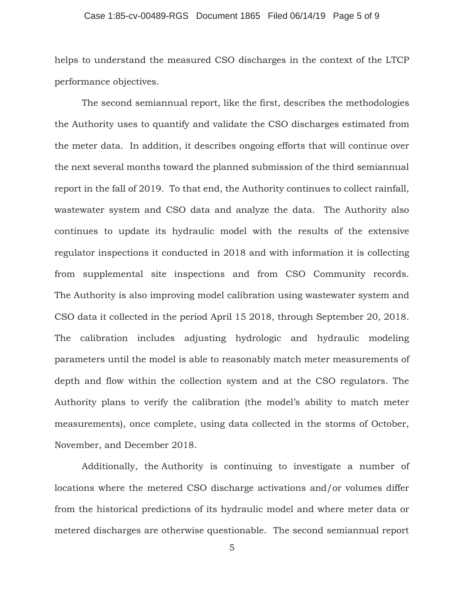#### Case 1:85-cv-00489-RGS Document 1865 Filed 06/14/19 Page 5 of 9

helps to understand the measured CSO discharges in the context of the LTCP performance objectives.

The second semiannual report, like the first, describes the methodologies the Authority uses to quantify and validate the CSO discharges estimated from the meter data. In addition, it describes ongoing efforts that will continue over the next several months toward the planned submission of the third semiannual report in the fall of 2019. To that end, the Authority continues to collect rainfall, wastewater system and CSO data and analyze the data. The Authority also continues to update its hydraulic model with the results of the extensive regulator inspections it conducted in 2018 and with information it is collecting from supplemental site inspections and from CSO Community records. The Authority is also improving model calibration using wastewater system and CSO data it collected in the period April 15 2018, through September 20, 2018. The calibration includes adjusting hydrologic and hydraulic modeling parameters until the model is able to reasonably match meter measurements of depth and flow within the collection system and at the CSO regulators. The Authority plans to verify the calibration (the model's ability to match meter measurements), once complete, using data collected in the storms of October, November, and December 2018.

Additionally, the Authority is continuing to investigate a number of locations where the metered CSO discharge activations and/or volumes differ from the historical predictions of its hydraulic model and where meter data or metered discharges are otherwise questionable. The second semiannual report

5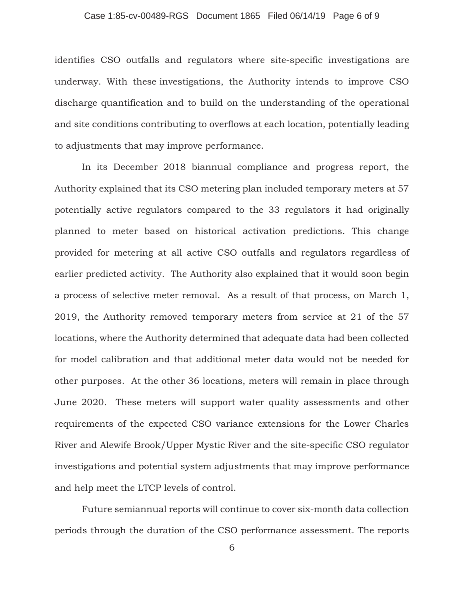#### Case 1:85-cv-00489-RGS Document 1865 Filed 06/14/19 Page 6 of 9

identifies CSO outfalls and regulators where site-specific investigations are underway. With these investigations, the Authority intends to improve CSO discharge quantification and to build on the understanding of the operational and site conditions contributing to overflows at each location, potentially leading to adjustments that may improve performance.

In its December 2018 biannual compliance and progress report, the Authority explained that its CSO metering plan included temporary meters at 57 potentially active regulators compared to the 33 regulators it had originally planned to meter based on historical activation predictions. This change provided for metering at all active CSO outfalls and regulators regardless of earlier predicted activity. The Authority also explained that it would soon begin a process of selective meter removal. As a result of that process, on March 1, 2019, the Authority removed temporary meters from service at 21 of the 57 locations, where the Authority determined that adequate data had been collected for model calibration and that additional meter data would not be needed for other purposes. At the other 36 locations, meters will remain in place through June 2020. These meters will support water quality assessments and other requirements of the expected CSO variance extensions for the Lower Charles River and Alewife Brook/Upper Mystic River and the site-specific CSO regulator investigations and potential system adjustments that may improve performance and help meet the LTCP levels of control.

Future semiannual reports will continue to cover six-month data collection periods through the duration of the CSO performance assessment. The reports

6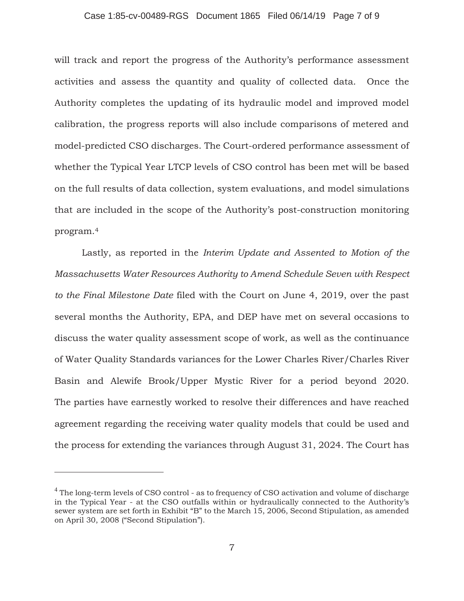# Case 1:85-cv-00489-RGS Document 1865 Filed 06/14/19 Page 7 of 9

will track and report the progress of the Authority's performance assessment activities and assess the quantity and quality of collected data. Once the Authority completes the updating of its hydraulic model and improved model calibration, the progress reports will also include comparisons of metered and model-predicted CSO discharges. The Court-ordered performance assessment of whether the Typical Year LTCP levels of CSO control has been met will be based on the full results of data collection, system evaluations, and model simulations that are included in the scope of the Authority's post-construction monitoring program.4

Lastly, as reported in the *Interim Update and Assented to Motion of the Massachusetts Water Resources Authority to Amend Schedule Seven with Respect to the Final Milestone Date* filed with the Court on June 4, 2019, over the past several months the Authority, EPA, and DEP have met on several occasions to discuss the water quality assessment scope of work, as well as the continuance of Water Quality Standards variances for the Lower Charles River/Charles River Basin and Alewife Brook/Upper Mystic River for a period beyond 2020. The parties have earnestly worked to resolve their differences and have reached agreement regarding the receiving water quality models that could be used and the process for extending the variances through August 31, 2024. The Court has

<sup>&</sup>lt;sup>4</sup> The long-term levels of CSO control - as to frequency of CSO activation and volume of discharge in the Typical Year - at the CSO outfalls within or hydraulically connected to the Authority's sewer system are set forth in Exhibit "B" to the March 15, 2006, Second Stipulation, as amended on April 30, 2008 ("Second Stipulation").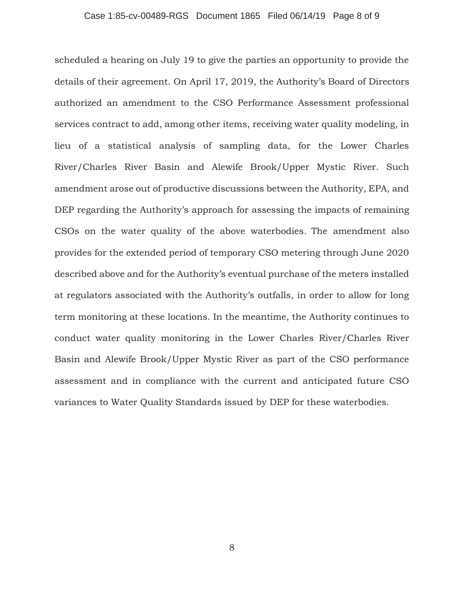#### Case 1:85-cv-00489-RGS Document 1865 Filed 06/14/19 Page 8 of 9

scheduled a hearing on July 19 to give the parties an opportunity to provide the details of their agreement. On April 17, 2019, the Authority's Board of Directors authorized an amendment to the CSO Performance Assessment professional services contract to add, among other items, receiving water quality modeling, in lieu of a statistical analysis of sampling data, for the Lower Charles River/Charles River Basin and Alewife Brook/Upper Mystic River. Such amendment arose out of productive discussions between the Authority, EPA, and DEP regarding the Authority's approach for assessing the impacts of remaining CSOs on the water quality of the above waterbodies. The amendment also provides for the extended period of temporary CSO metering through June 2020 described above and for the Authority's eventual purchase of the meters installed at regulators associated with the Authority's outfalls, in order to allow for long term monitoring at these locations. In the meantime, the Authority continues to conduct water quality monitoring in the Lower Charles River/Charles River Basin and Alewife Brook/Upper Mystic River as part of the CSO performance assessment and in compliance with the current and anticipated future CSO variances to Water Quality Standards issued by DEP for these waterbodies.